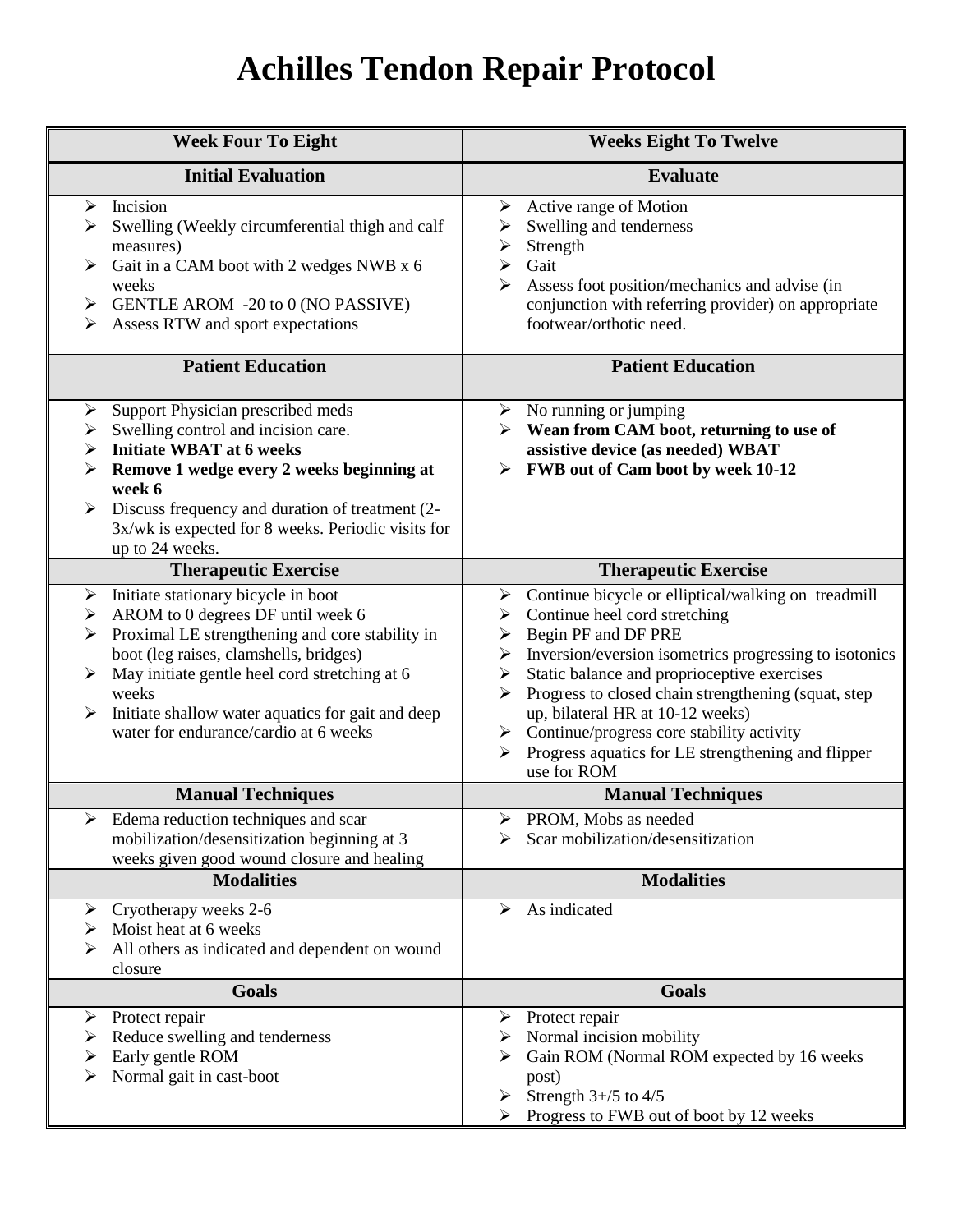## **Achilles Tendon Repair Protocol**

| <b>Week Four To Eight</b>                                                                                                                                                                                                                                                                                                                                             | <b>Weeks Eight To Twelve</b>                                                                                                                                                                                                                                                                                                                                                                                                                                              |
|-----------------------------------------------------------------------------------------------------------------------------------------------------------------------------------------------------------------------------------------------------------------------------------------------------------------------------------------------------------------------|---------------------------------------------------------------------------------------------------------------------------------------------------------------------------------------------------------------------------------------------------------------------------------------------------------------------------------------------------------------------------------------------------------------------------------------------------------------------------|
| <b>Initial Evaluation</b>                                                                                                                                                                                                                                                                                                                                             | <b>Evaluate</b>                                                                                                                                                                                                                                                                                                                                                                                                                                                           |
| Incision<br>➤<br>Swelling (Weekly circumferential thigh and calf<br>measures)<br>Gait in a CAM boot with 2 wedges NWB x 6<br>weeks<br>GENTLE AROM -20 to 0 (NO PASSIVE)<br>➤<br>Assess RTW and sport expectations                                                                                                                                                     | Active range of Motion<br>➤<br>Swelling and tenderness<br>Strength<br>➤<br>Gait<br>➤<br>Assess foot position/mechanics and advise (in<br>⋗<br>conjunction with referring provider) on appropriate<br>footwear/orthotic need.                                                                                                                                                                                                                                              |
| <b>Patient Education</b>                                                                                                                                                                                                                                                                                                                                              | <b>Patient Education</b>                                                                                                                                                                                                                                                                                                                                                                                                                                                  |
| Support Physician prescribed meds<br>➤<br>Swelling control and incision care.<br>➤<br><b>Initiate WBAT at 6 weeks</b><br>➤<br>Remove 1 wedge every 2 weeks beginning at<br>week 6<br>Discuss frequency and duration of treatment (2-<br>➤<br>3x/wk is expected for 8 weeks. Periodic visits for<br>up to 24 weeks.                                                    | $\triangleright$ No running or jumping<br>Wean from CAM boot, returning to use of<br>assistive device (as needed) WBAT<br>FWB out of Cam boot by week 10-12<br>≻                                                                                                                                                                                                                                                                                                          |
| <b>Therapeutic Exercise</b>                                                                                                                                                                                                                                                                                                                                           | <b>Therapeutic Exercise</b>                                                                                                                                                                                                                                                                                                                                                                                                                                               |
| Initiate stationary bicycle in boot<br>$\blacktriangleright$<br>AROM to 0 degrees DF until week 6<br>➤<br>Proximal LE strengthening and core stability in<br>➤<br>boot (leg raises, clamshells, bridges)<br>May initiate gentle heel cord stretching at 6<br>weeks<br>Initiate shallow water aquatics for gait and deep<br>≻<br>water for endurance/cardio at 6 weeks | Continue bicycle or elliptical/walking on treadmill<br>≻<br>Continue heel cord stretching<br>➤<br>Begin PF and DF PRE<br>➤<br>Inversion/eversion isometrics progressing to isotonics<br>➤<br>Static balance and proprioceptive exercises<br>➤<br>Progress to closed chain strengthening (squat, step<br>⋗<br>up, bilateral HR at 10-12 weeks)<br>Continue/progress core stability activity<br>➤<br>Progress aquatics for LE strengthening and flipper<br>➤<br>use for ROM |
| <b>Manual Techniques</b>                                                                                                                                                                                                                                                                                                                                              | <b>Manual Techniques</b>                                                                                                                                                                                                                                                                                                                                                                                                                                                  |
| $\triangleright$ Edema reduction techniques and scar<br>mobilization/desensitization beginning at 3<br>weeks given good wound closure and healing                                                                                                                                                                                                                     | > PROM, Mobs as needed<br>Scar mobilization/desensitization                                                                                                                                                                                                                                                                                                                                                                                                               |
| <b>Modalities</b>                                                                                                                                                                                                                                                                                                                                                     | <b>Modalities</b>                                                                                                                                                                                                                                                                                                                                                                                                                                                         |
| Cryotherapy weeks 2-6<br>➤<br>Moist heat at 6 weeks<br>➤<br>All others as indicated and dependent on wound<br>closure                                                                                                                                                                                                                                                 | As indicated<br>➤                                                                                                                                                                                                                                                                                                                                                                                                                                                         |
| <b>Goals</b>                                                                                                                                                                                                                                                                                                                                                          | <b>Goals</b>                                                                                                                                                                                                                                                                                                                                                                                                                                                              |
| Protect repair<br>➤<br>Reduce swelling and tenderness<br>➤<br>Early gentle ROM<br>Normal gait in cast-boot                                                                                                                                                                                                                                                            | $\triangleright$ Protect repair<br>Normal incision mobility<br>➤<br>Gain ROM (Normal ROM expected by 16 weeks<br>post)<br>Strength $3+/5$ to $4/5$<br>➤<br>Progress to FWB out of boot by 12 weeks                                                                                                                                                                                                                                                                        |